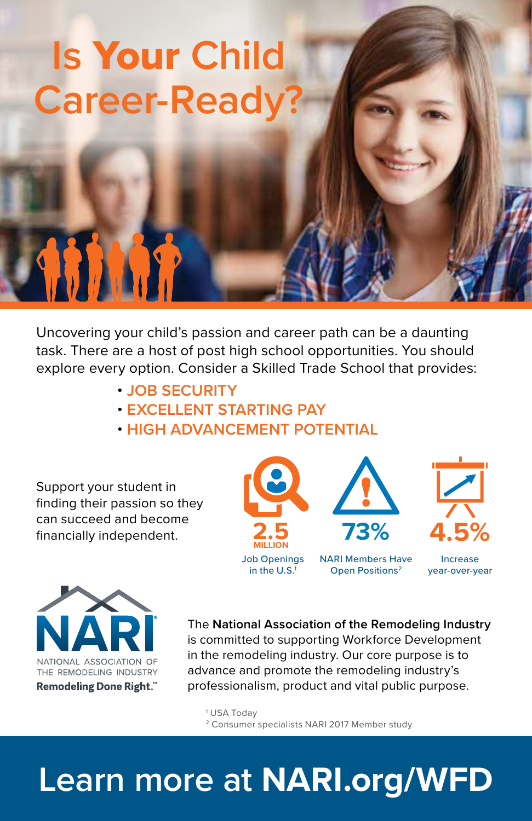## **Is** Your **Child Career-Read**

Uncovering your child's passion and career path can be a daunting task. There are a host of post high school opportunities. You should explore every option. Consider a Skilled Trade School that provides:

- **JOB SECURITY**
- **EXCELLENT STARTING PAY**
- **HIGH ADVANCEMENT POTENTIAL**

Support your student in finding their passion so they can succeed and become financially independent.





**SIRR** 

The **National Association of the Remodeling Industry** is committed to supporting Workforce Development in the remodeling industry. Our core purpose is to advance and promote the remodeling industry's professionalism, product and vital public purpose.

1 USA Today 2 Consumer specialists NARI 2017 Member study

## **Learn more at NARI.org/WFD**